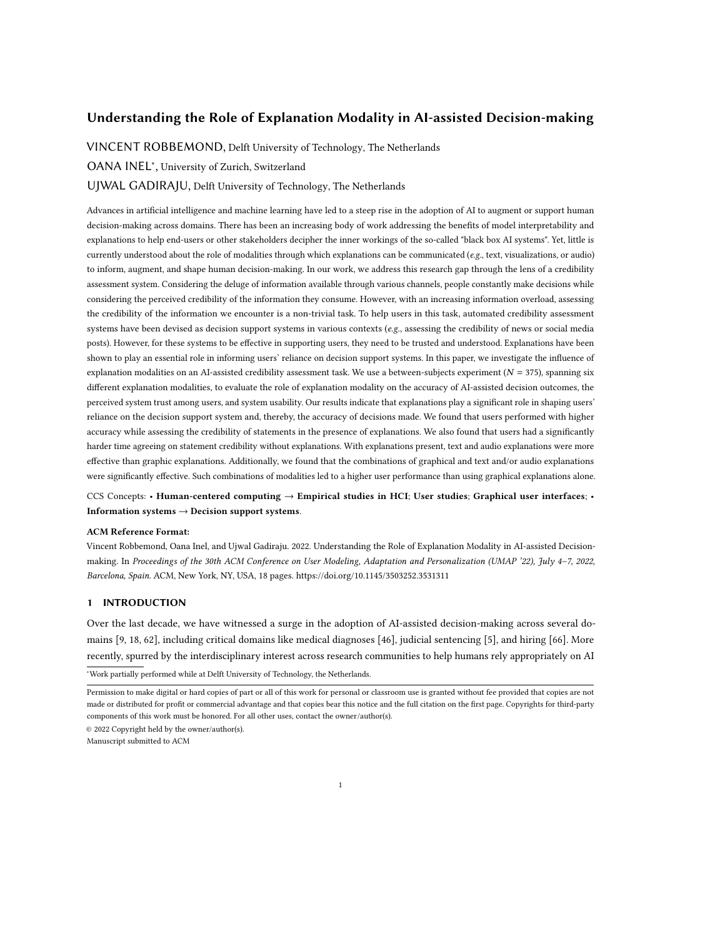# Understanding the Role of Explanation Modality in AI-assisted Decision-making

VINCENT ROBBEMOND, Delft University of Technology, The Netherlands

OANA INEL<sup>∗</sup> , University of Zurich, Switzerland

UJWAL GADIRAJU, Delft University of Technology, The Netherlands

Advances in artificial intelligence and machine learning have led to a steep rise in the adoption of AI to augment or support human decision-making across domains. There has been an increasing body of work addressing the benefits of model interpretability and explanations to help end-users or other stakeholders decipher the inner workings of the so-called "black box AI systems". Yet, little is currently understood about the role of modalities through which explanations can be communicated (e.g., text, visualizations, or audio) to inform, augment, and shape human decision-making. In our work, we address this research gap through the lens of a credibility assessment system. Considering the deluge of information available through various channels, people constantly make decisions while considering the perceived credibility of the information they consume. However, with an increasing information overload, assessing the credibility of the information we encounter is a non-trivial task. To help users in this task, automated credibility assessment systems have been devised as decision support systems in various contexts (e.g., assessing the credibility of news or social media posts). However, for these systems to be effective in supporting users, they need to be trusted and understood. Explanations have been shown to play an essential role in informing users' reliance on decision support systems. In this paper, we investigate the influence of explanation modalities on an AI-assisted credibility assessment task. We use a between-subjects experiment ( $N = 375$ ), spanning six different explanation modalities, to evaluate the role of explanation modality on the accuracy of AI-assisted decision outcomes, the perceived system trust among users, and system usability. Our results indicate that explanations play a significant role in shaping users' reliance on the decision support system and, thereby, the accuracy of decisions made. We found that users performed with higher accuracy while assessing the credibility of statements in the presence of explanations. We also found that users had a significantly harder time agreeing on statement credibility without explanations. With explanations present, text and audio explanations were more effective than graphic explanations. Additionally, we found that the combinations of graphical and text and/or audio explanations were significantly effective. Such combinations of modalities led to a higher user performance than using graphical explanations alone.

CCS Concepts: • Human-centered computing → Empirical studies in HCI; User studies; Graphical user interfaces; • Information systems  $\rightarrow$  Decision support systems.

## ACM Reference Format:

Vincent Robbemond, Oana Inel, and Ujwal Gadiraju. 2022. Understanding the Role of Explanation Modality in AI-assisted Decisionmaking. In Proceedings of the 30th ACM Conference on User Modeling, Adaptation and Personalization (UMAP '22), July 4–7, 2022, Barcelona, Spain. ACM, New York, NY, USA, [18](#page-17-0) pages.<https://doi.org/10.1145/3503252.3531311>

### 1 INTRODUCTION

Over the last decade, we have witnessed a surge in the adoption of AI-assisted decision-making across several domains [\[9,](#page-14-0) [18,](#page-14-1) [62\]](#page-16-0), including critical domains like medical diagnoses [\[46\]](#page-15-0), judicial sentencing [\[5\]](#page-14-2), and hiring [\[66\]](#page-16-1). More recently, spurred by the interdisciplinary interest across research communities to help humans rely appropriately on AI <sup>∗</sup>Work partially performed while at Delft University of Technology, the Netherlands.

© 2022 Copyright held by the owner/author(s).

Manuscript submitted to ACM

Permission to make digital or hard copies of part or all of this work for personal or classroom use is granted without fee provided that copies are not made or distributed for profit or commercial advantage and that copies bear this notice and the full citation on the first page. Copyrights for third-party components of this work must be honored. For all other uses, contact the owner/author(s).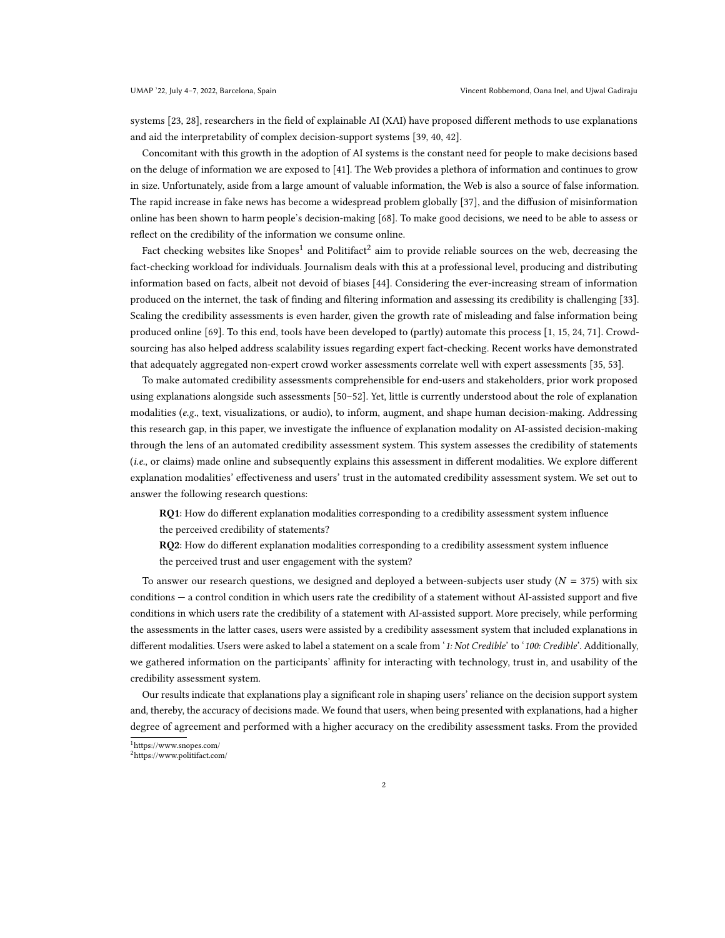systems [\[23,](#page-14-3) [28\]](#page-15-1), researchers in the field of explainable AI (XAI) have proposed different methods to use explanations and aid the interpretability of complex decision-support systems [\[39,](#page-15-2) [40,](#page-15-3) [42\]](#page-15-4).

Concomitant with this growth in the adoption of AI systems is the constant need for people to make decisions based on the deluge of information we are exposed to [\[41\]](#page-15-5). The Web provides a plethora of information and continues to grow in size. Unfortunately, aside from a large amount of valuable information, the Web is also a source of false information. The rapid increase in fake news has become a widespread problem globally [\[37\]](#page-15-6), and the diffusion of misinformation online has been shown to harm people's decision-making [\[68\]](#page-16-2). To make good decisions, we need to be able to assess or reflect on the credibility of the information we consume online.

Fact checking websites like Snopes $^1$  $^1$  and Politifact $^2$  $^2$  aim to provide reliable sources on the web, decreasing the fact-checking workload for individuals. Journalism deals with this at a professional level, producing and distributing information based on facts, albeit not devoid of biases [\[44\]](#page-15-7). Considering the ever-increasing stream of information produced on the internet, the task of finding and filtering information and assessing its credibility is challenging [\[33\]](#page-15-8). Scaling the credibility assessments is even harder, given the growth rate of misleading and false information being produced online [\[69\]](#page-16-3). To this end, tools have been developed to (partly) automate this process [\[1,](#page-13-0) [15,](#page-14-4) [24,](#page-14-5) [71\]](#page-16-4). Crowdsourcing has also helped address scalability issues regarding expert fact-checking. Recent works have demonstrated that adequately aggregated non-expert crowd worker assessments correlate well with expert assessments [\[35,](#page-15-9) [53\]](#page-16-5).

To make automated credibility assessments comprehensible for end-users and stakeholders, prior work proposed using explanations alongside such assessments [\[50–](#page-15-10)[52\]](#page-16-6). Yet, little is currently understood about the role of explanation modalities (e.g., text, visualizations, or audio), to inform, augment, and shape human decision-making. Addressing this research gap, in this paper, we investigate the influence of explanation modality on AI-assisted decision-making through the lens of an automated credibility assessment system. This system assesses the credibility of statements (i.e., or claims) made online and subsequently explains this assessment in different modalities. We explore different explanation modalities' effectiveness and users' trust in the automated credibility assessment system. We set out to answer the following research questions:

RQ1: How do different explanation modalities corresponding to a credibility assessment system influence the perceived credibility of statements?

RQ2: How do different explanation modalities corresponding to a credibility assessment system influence the perceived trust and user engagement with the system?

To answer our research questions, we designed and deployed a between-subjects user study ( $N = 375$ ) with six conditions — a control condition in which users rate the credibility of a statement without AI-assisted support and five conditions in which users rate the credibility of a statement with AI-assisted support. More precisely, while performing the assessments in the latter cases, users were assisted by a credibility assessment system that included explanations in different modalities. Users were asked to label a statement on a scale from '1: Not Credible' to '100: Credible'. Additionally, we gathered information on the participants' affinity for interacting with technology, trust in, and usability of the credibility assessment system.

Our results indicate that explanations play a significant role in shaping users' reliance on the decision support system and, thereby, the accuracy of decisions made. We found that users, when being presented with explanations, had a higher degree of agreement and performed with a higher accuracy on the credibility assessment tasks. From the provided

<span id="page-1-0"></span><sup>1</sup><https://www.snopes.com/>

<span id="page-1-1"></span><sup>2</sup><https://www.politifact.com/>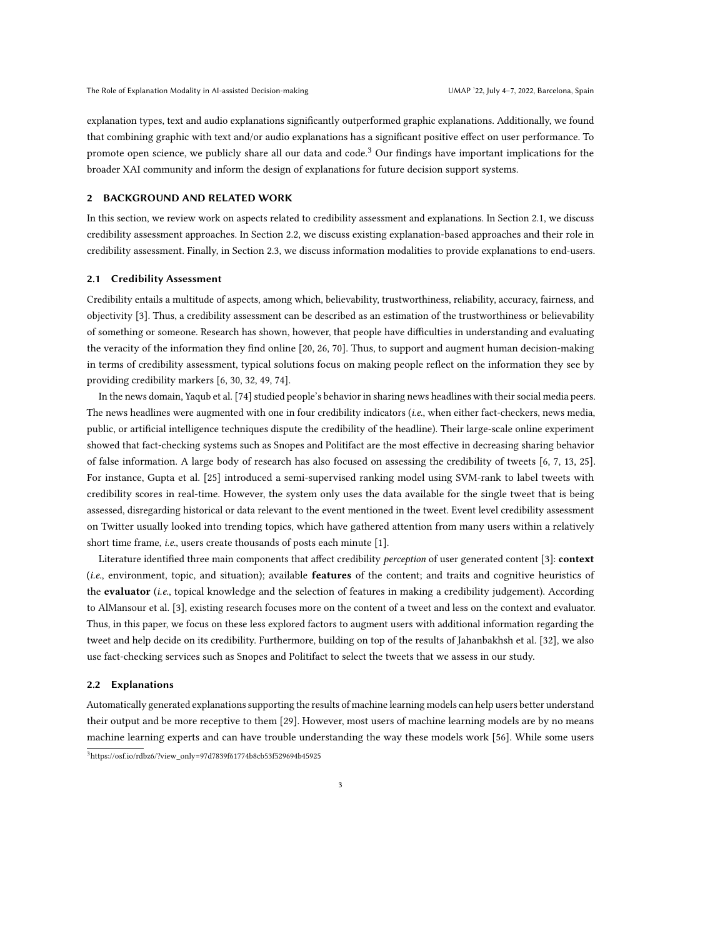explanation types, text and audio explanations significantly outperformed graphic explanations. Additionally, we found that combining graphic with text and/or audio explanations has a significant positive effect on user performance. To promote open science, we publicly share all our data and code.<sup>[3](#page-2-0)</sup> Our findings have important implications for the broader XAI community and inform the design of explanations for future decision support systems.

# 2 BACKGROUND AND RELATED WORK

In this section, we review work on aspects related to credibility assessment and explanations. In Section [2.1,](#page-2-1) we discuss credibility assessment approaches. In Section [2.2,](#page-2-2) we discuss existing explanation-based approaches and their role in credibility assessment. Finally, in Section [2.3,](#page-3-0) we discuss information modalities to provide explanations to end-users.

### <span id="page-2-1"></span>2.1 Credibility Assessment

Credibility entails a multitude of aspects, among which, believability, trustworthiness, reliability, accuracy, fairness, and objectivity [\[3\]](#page-13-1). Thus, a credibility assessment can be described as an estimation of the trustworthiness or believability of something or someone. Research has shown, however, that people have difficulties in understanding and evaluating the veracity of the information they find online [\[20,](#page-14-6) [26,](#page-14-7) [70\]](#page-16-7). Thus, to support and augment human decision-making in terms of credibility assessment, typical solutions focus on making people reflect on the information they see by providing credibility markers [\[6,](#page-14-8) [30,](#page-15-11) [32,](#page-15-12) [49,](#page-15-13) [74\]](#page-17-1).

In the news domain, Yaqub et al. [\[74\]](#page-17-1) studied people's behavior in sharing news headlines with their social media peers. The news headlines were augmented with one in four credibility indicators (i.e., when either fact-checkers, news media, public, or artificial intelligence techniques dispute the credibility of the headline). Their large-scale online experiment showed that fact-checking systems such as Snopes and Politifact are the most effective in decreasing sharing behavior of false information. A large body of research has also focused on assessing the credibility of tweets [\[6,](#page-14-8) [7,](#page-14-9) [13,](#page-14-10) [25\]](#page-14-11). For instance, Gupta et al. [\[25\]](#page-14-11) introduced a semi-supervised ranking model using SVM-rank to label tweets with credibility scores in real-time. However, the system only uses the data available for the single tweet that is being assessed, disregarding historical or data relevant to the event mentioned in the tweet. Event level credibility assessment on Twitter usually looked into trending topics, which have gathered attention from many users within a relatively short time frame, *i.e.*, users create thousands of posts each minute [\[1\]](#page-13-0).

Literature identified three main components that affect credibility perception of user generated content [\[3\]](#page-13-1): context  $(i.e.,$  environment, topic, and situation); available **features** of the content; and traits and cognitive heuristics of the evaluator (i.e., topical knowledge and the selection of features in making a credibility judgement). According to AlMansour et al. [\[3\]](#page-13-1), existing research focuses more on the content of a tweet and less on the context and evaluator. Thus, in this paper, we focus on these less explored factors to augment users with additional information regarding the tweet and help decide on its credibility. Furthermore, building on top of the results of Jahanbakhsh et al. [\[32\]](#page-15-12), we also use fact-checking services such as Snopes and Politifact to select the tweets that we assess in our study.

# <span id="page-2-2"></span>2.2 Explanations

<span id="page-2-0"></span>Automatically generated explanations supporting the results of machine learning models can help users better understand their output and be more receptive to them [\[29\]](#page-15-14). However, most users of machine learning models are by no means machine learning experts and can have trouble understanding the way these models work [\[56\]](#page-16-8). While some users <sup>3</sup>[https://osf.io/rdbz6/?view\\_only=97d7839f61774b8cb53f529694b45925](https://osf.io/rdbz6/?view_only=97d7839f61774b8cb53f529694b45925)

3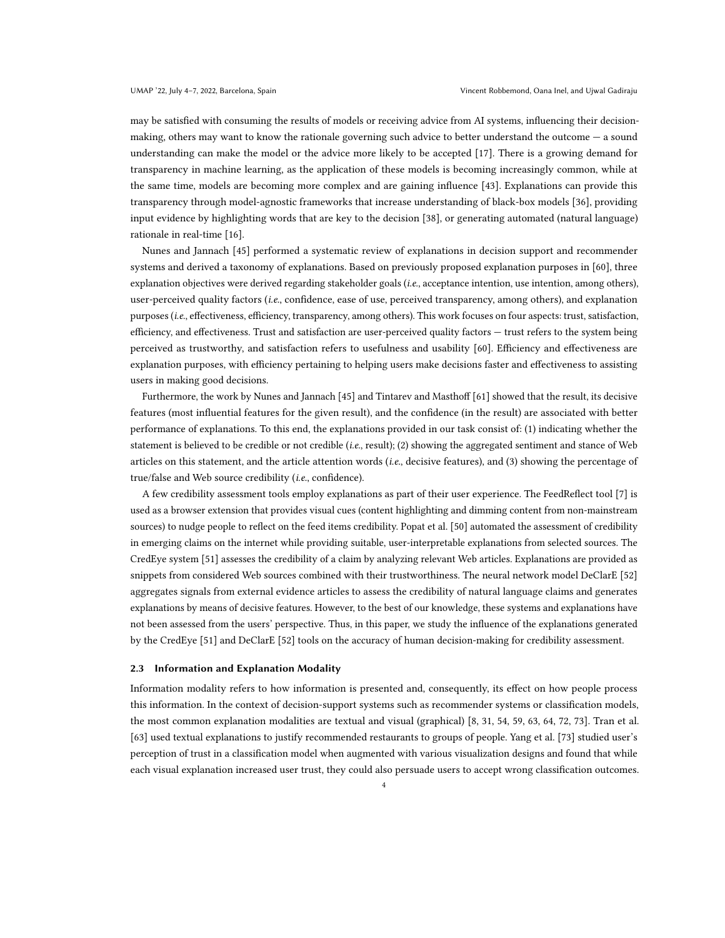may be satisfied with consuming the results of models or receiving advice from AI systems, influencing their decisionmaking, others may want to know the rationale governing such advice to better understand the outcome — a sound understanding can make the model or the advice more likely to be accepted [\[17\]](#page-14-12). There is a growing demand for transparency in machine learning, as the application of these models is becoming increasingly common, while at the same time, models are becoming more complex and are gaining influence [\[43\]](#page-15-15). Explanations can provide this transparency through model-agnostic frameworks that increase understanding of black-box models [\[36\]](#page-15-16), providing input evidence by highlighting words that are key to the decision [\[38\]](#page-15-17), or generating automated (natural language) rationale in real-time [\[16\]](#page-14-13).

Nunes and Jannach [\[45\]](#page-15-18) performed a systematic review of explanations in decision support and recommender systems and derived a taxonomy of explanations. Based on previously proposed explanation purposes in [\[60\]](#page-16-9), three explanation objectives were derived regarding stakeholder goals (i.e., acceptance intention, use intention, among others), user-perceived quality factors (i.e., confidence, ease of use, perceived transparency, among others), and explanation purposes (i.e., effectiveness, efficiency, transparency, among others). This work focuses on four aspects: trust, satisfaction, efficiency, and effectiveness. Trust and satisfaction are user-perceived quality factors — trust refers to the system being perceived as trustworthy, and satisfaction refers to usefulness and usability [\[60\]](#page-16-9). Efficiency and effectiveness are explanation purposes, with efficiency pertaining to helping users make decisions faster and effectiveness to assisting users in making good decisions.

Furthermore, the work by Nunes and Jannach [\[45\]](#page-15-18) and Tintarev and Masthoff [\[61\]](#page-16-10) showed that the result, its decisive features (most influential features for the given result), and the confidence (in the result) are associated with better performance of explanations. To this end, the explanations provided in our task consist of: (1) indicating whether the statement is believed to be credible or not credible (i.e., result); (2) showing the aggregated sentiment and stance of Web articles on this statement, and the article attention words (i.e., decisive features), and (3) showing the percentage of true/false and Web source credibility (i.e., confidence).

A few credibility assessment tools employ explanations as part of their user experience. The FeedReflect tool [\[7\]](#page-14-9) is used as a browser extension that provides visual cues (content highlighting and dimming content from non-mainstream sources) to nudge people to reflect on the feed items credibility. Popat et al. [\[50\]](#page-15-10) automated the assessment of credibility in emerging claims on the internet while providing suitable, user-interpretable explanations from selected sources. The CredEye system [\[51\]](#page-15-19) assesses the credibility of a claim by analyzing relevant Web articles. Explanations are provided as snippets from considered Web sources combined with their trustworthiness. The neural network model DeClarE [\[52\]](#page-16-6) aggregates signals from external evidence articles to assess the credibility of natural language claims and generates explanations by means of decisive features. However, to the best of our knowledge, these systems and explanations have not been assessed from the users' perspective. Thus, in this paper, we study the influence of the explanations generated by the CredEye [\[51\]](#page-15-19) and DeClarE [\[52\]](#page-16-6) tools on the accuracy of human decision-making for credibility assessment.

#### <span id="page-3-0"></span>2.3 Information and Explanation Modality

Information modality refers to how information is presented and, consequently, its effect on how people process this information. In the context of decision-support systems such as recommender systems or classification models, the most common explanation modalities are textual and visual (graphical) [\[8,](#page-14-14) [31,](#page-15-20) [54,](#page-16-11) [59,](#page-16-12) [63,](#page-16-13) [64,](#page-16-14) [72,](#page-16-15) [73\]](#page-16-16). Tran et al. [\[63\]](#page-16-13) used textual explanations to justify recommended restaurants to groups of people. Yang et al. [\[73\]](#page-16-16) studied user's perception of trust in a classification model when augmented with various visualization designs and found that while each visual explanation increased user trust, they could also persuade users to accept wrong classification outcomes.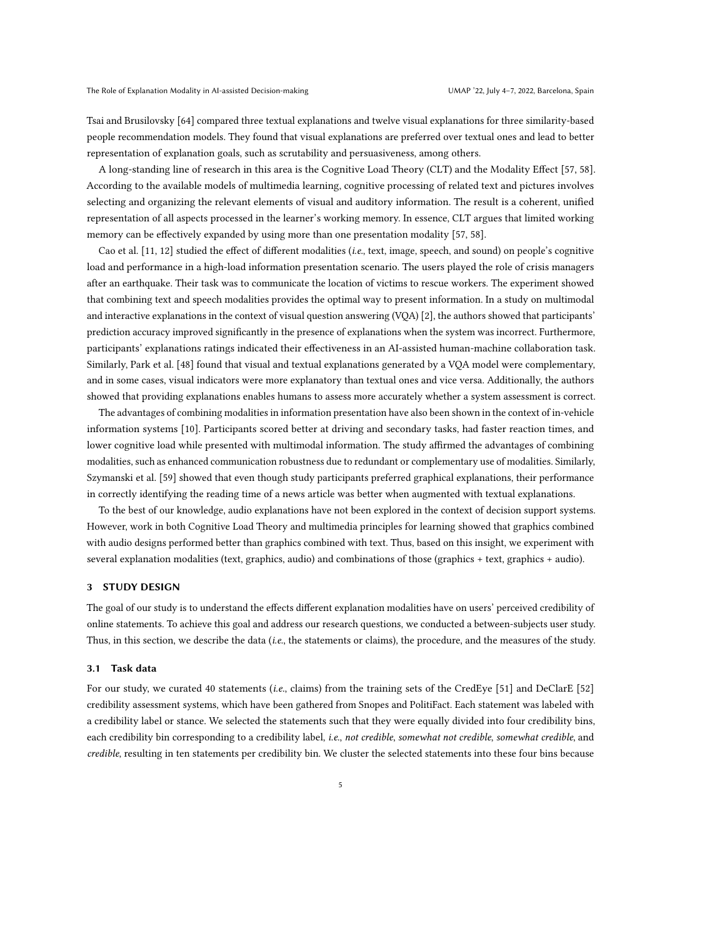Tsai and Brusilovsky [\[64\]](#page-16-14) compared three textual explanations and twelve visual explanations for three similarity-based people recommendation models. They found that visual explanations are preferred over textual ones and lead to better representation of explanation goals, such as scrutability and persuasiveness, among others.

A long-standing line of research in this area is the Cognitive Load Theory (CLT) and the Modality Effect [\[57,](#page-16-17) [58\]](#page-16-18). According to the available models of multimedia learning, cognitive processing of related text and pictures involves selecting and organizing the relevant elements of visual and auditory information. The result is a coherent, unified representation of all aspects processed in the learner's working memory. In essence, CLT argues that limited working memory can be effectively expanded by using more than one presentation modality [\[57,](#page-16-17) [58\]](#page-16-18).

Cao et al. [\[11,](#page-14-15) [12\]](#page-14-16) studied the effect of different modalities (i.e., text, image, speech, and sound) on people's cognitive load and performance in a high-load information presentation scenario. The users played the role of crisis managers after an earthquake. Their task was to communicate the location of victims to rescue workers. The experiment showed that combining text and speech modalities provides the optimal way to present information. In a study on multimodal and interactive explanations in the context of visual question answering (VQA) [\[2\]](#page-13-2), the authors showed that participants' prediction accuracy improved significantly in the presence of explanations when the system was incorrect. Furthermore, participants' explanations ratings indicated their effectiveness in an AI-assisted human-machine collaboration task. Similarly, Park et al. [\[48\]](#page-15-21) found that visual and textual explanations generated by a VQA model were complementary, and in some cases, visual indicators were more explanatory than textual ones and vice versa. Additionally, the authors showed that providing explanations enables humans to assess more accurately whether a system assessment is correct.

The advantages of combining modalities in information presentation have also been shown in the context of in-vehicle information systems [\[10\]](#page-14-17). Participants scored better at driving and secondary tasks, had faster reaction times, and lower cognitive load while presented with multimodal information. The study affirmed the advantages of combining modalities, such as enhanced communication robustness due to redundant or complementary use of modalities. Similarly, Szymanski et al. [\[59\]](#page-16-12) showed that even though study participants preferred graphical explanations, their performance in correctly identifying the reading time of a news article was better when augmented with textual explanations.

To the best of our knowledge, audio explanations have not been explored in the context of decision support systems. However, work in both Cognitive Load Theory and multimedia principles for learning showed that graphics combined with audio designs performed better than graphics combined with text. Thus, based on this insight, we experiment with several explanation modalities (text, graphics, audio) and combinations of those (graphics + text, graphics + audio).

# 3 STUDY DESIGN

The goal of our study is to understand the effects different explanation modalities have on users' perceived credibility of online statements. To achieve this goal and address our research questions, we conducted a between-subjects user study. Thus, in this section, we describe the data (i.e., the statements or claims), the procedure, and the measures of the study.

### <span id="page-4-0"></span>3.1 Task data

For our study, we curated 40 statements (i.e., claims) from the training sets of the CredEye [\[51\]](#page-15-19) and DeClarE [\[52\]](#page-16-6) credibility assessment systems, which have been gathered from Snopes and PolitiFact. Each statement was labeled with a credibility label or stance. We selected the statements such that they were equally divided into four credibility bins, each credibility bin corresponding to a credibility label, i.e., not credible, somewhat not credible, somewhat credible, and credible, resulting in ten statements per credibility bin. We cluster the selected statements into these four bins because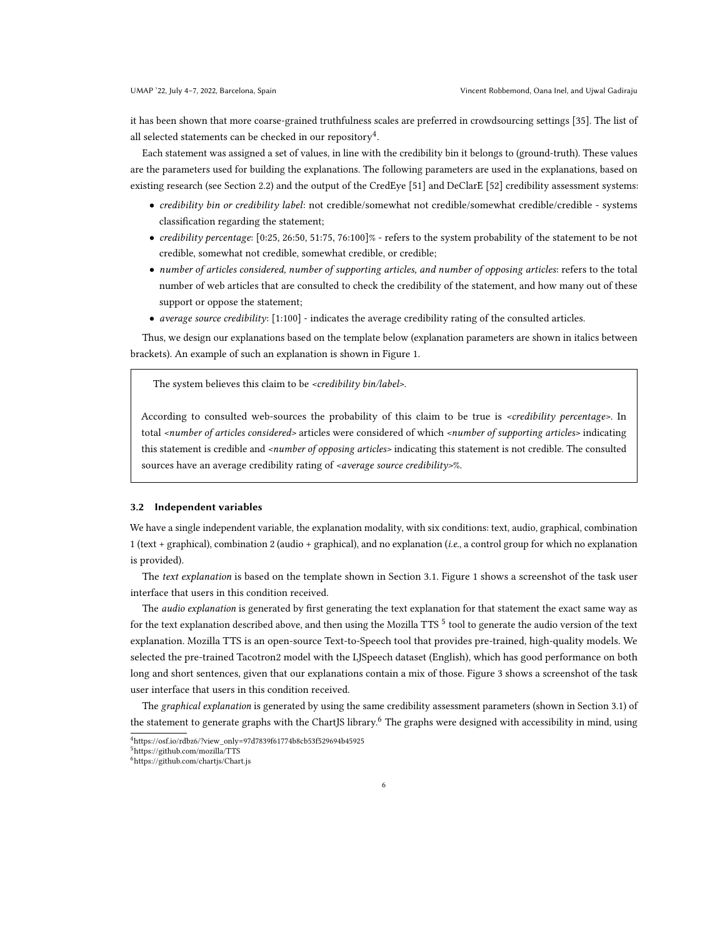it has been shown that more coarse-grained truthfulness scales are preferred in crowdsourcing settings [\[35\]](#page-15-9). The list of all selected statements can be checked in our repository $^4$  $^4$ .

Each statement was assigned a set of values, in line with the credibility bin it belongs to (ground-truth). These values are the parameters used for building the explanations. The following parameters are used in the explanations, based on existing research (see Section [2.2\)](#page-2-2) and the output of the CredEye [\[51\]](#page-15-19) and DeClarE [\[52\]](#page-16-6) credibility assessment systems:

- credibility bin or credibility label: not credible/somewhat not credible/somewhat credible/credible systems classification regarding the statement;
- credibility percentage: [0:25, 26:50, 51:75, 76:100]% refers to the system probability of the statement to be not credible, somewhat not credible, somewhat credible, or credible;
- number of articles considered, number of supporting articles, and number of opposing articles: refers to the total number of web articles that are consulted to check the credibility of the statement, and how many out of these support or oppose the statement;
- average source credibility: [1:100] indicates the average credibility rating of the consulted articles.

Thus, we design our explanations based on the template below (explanation parameters are shown in italics between brackets). An example of such an explanation is shown in Figure [1.](#page-6-0)

The system believes this claim to be <credibility bin/label>.

According to consulted web-sources the probability of this claim to be true is <credibility percentage>. In total <number of articles considered> articles were considered of which <number of supporting articles> indicating this statement is credible and <number of opposing articles> indicating this statement is not credible. The consulted sources have an average credibility rating of *<average source credibility>%*.

#### 3.2 Independent variables

We have a single independent variable, the explanation modality, with six conditions: text, audio, graphical, combination 1 (text + graphical), combination 2 (audio + graphical), and no explanation (i.e., a control group for which no explanation is provided).

The text explanation is based on the template shown in Section [3.1.](#page-4-0) Figure [1](#page-6-0) shows a screenshot of the task user interface that users in this condition received.

The *audio explanation* is generated by first generating the text explanation for that statement the exact same way as for the text explanation described above, and then using the Mozilla TTS  $^5$  $^5$  tool to generate the audio version of the text explanation. Mozilla TTS is an open-source Text-to-Speech tool that provides pre-trained, high-quality models. We selected the pre-trained Tacotron2 model with the LJSpeech dataset (English), which has good performance on both long and short sentences, given that our explanations contain a mix of those. Figure [3](#page-6-1) shows a screenshot of the task user interface that users in this condition received.

The graphical explanation is generated by using the same credibility assessment parameters (shown in Section [3.1\)](#page-4-0) of the statement to generate graphs with the ChartJS library.<sup>[6](#page-5-2)</sup> The graphs were designed with accessibility in mind, using

<span id="page-5-0"></span><sup>4</sup>[https://osf.io/rdbz6/?view\\_only=97d7839f61774b8cb53f529694b45925](https://osf.io/rdbz6/?view_only=97d7839f61774b8cb53f529694b45925)

<span id="page-5-1"></span><sup>5</sup><https://github.com/mozilla/TTS>

<span id="page-5-2"></span><sup>6</sup><https://github.com/chartjs/Chart.js>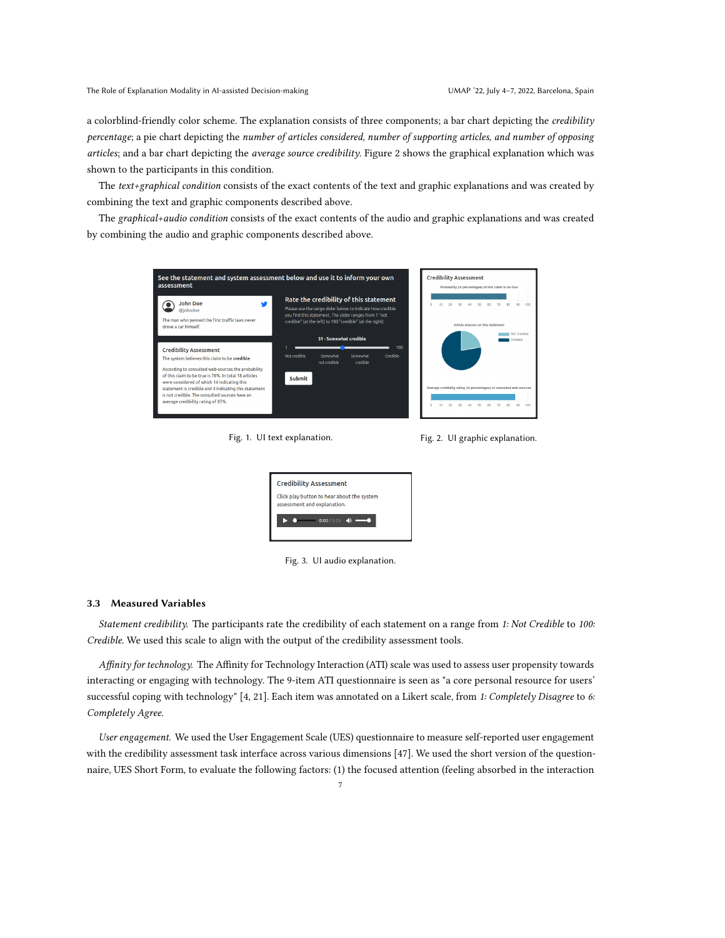a colorblind-friendly color scheme. The explanation consists of three components; a bar chart depicting the credibility percentage; a pie chart depicting the number of articles considered, number of supporting articles, and number of opposing articles; and a bar chart depicting the average source credibility. Figure [2](#page-6-2) shows the graphical explanation which was shown to the participants in this condition.

The  $text+graphical condition consists of the exact contents of the text and graphic explanations and was created by$ combining the text and graphic components described above.

The graphical+audio condition consists of the exact contents of the audio and graphic explanations and was created by combining the audio and graphic components described above.

<span id="page-6-0"></span>

Fig. 1. UI text explanation. The South State State State State State State State State State State State State State State State State State State State State State State State State State State State State State State Sta

<span id="page-6-2"></span>

Fig. 3. UI audio explanation.

#### <span id="page-6-1"></span>3.3 Measured Variables

Statement credibility. The participants rate the credibility of each statement on a range from 1: Not Credible to 100: Credible. We used this scale to align with the output of the credibility assessment tools.

Affinity for technology. The Affinity for Technology Interaction (ATI) scale was used to assess user propensity towards interacting or engaging with technology. The 9-item ATI questionnaire is seen as "a core personal resource for users' successful coping with technology" [\[4,](#page-14-18) [21\]](#page-14-19). Each item was annotated on a Likert scale, from 1: Completely Disagree to 6: Completely Agree.

User engagement. We used the User Engagement Scale (UES) questionnaire to measure self-reported user engagement with the credibility assessment task interface across various dimensions [\[47\]](#page-15-22). We used the short version of the questionnaire, UES Short Form, to evaluate the following factors: (1) the focused attention (feeling absorbed in the interaction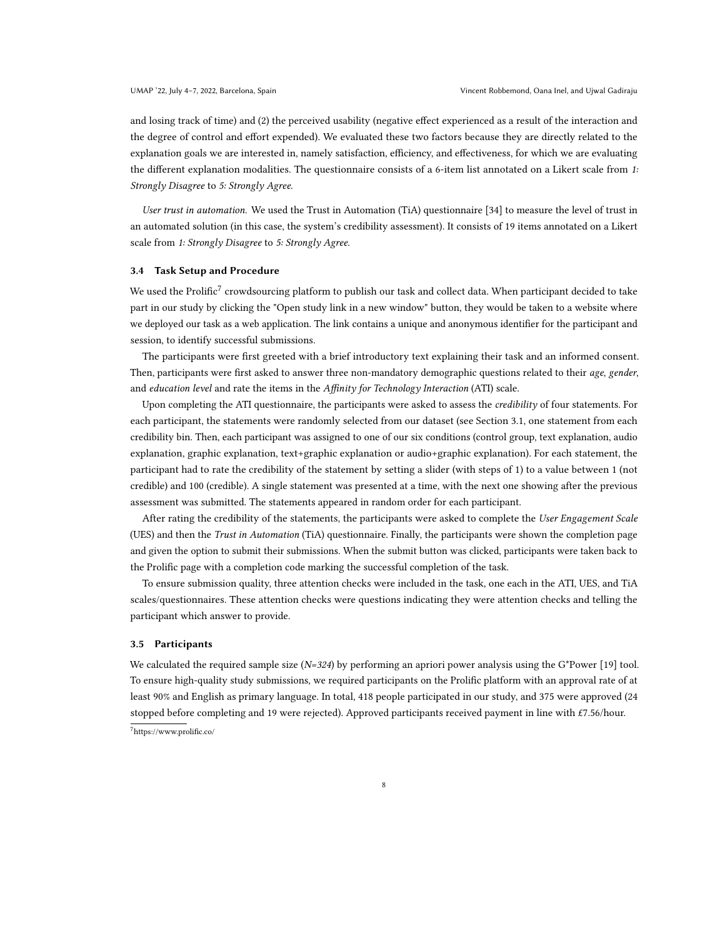and losing track of time) and (2) the perceived usability (negative effect experienced as a result of the interaction and the degree of control and effort expended). We evaluated these two factors because they are directly related to the explanation goals we are interested in, namely satisfaction, efficiency, and effectiveness, for which we are evaluating the different explanation modalities. The questionnaire consists of a 6-item list annotated on a Likert scale from 1: Strongly Disagree to 5: Strongly Agree.

User trust in automation. We used the Trust in Automation (TiA) questionnaire [\[34\]](#page-15-23) to measure the level of trust in an automated solution (in this case, the system's credibility assessment). It consists of 19 items annotated on a Likert scale from 1: Strongly Disagree to 5: Strongly Agree.

### <span id="page-7-1"></span>3.4 Task Setup and Procedure

We used the Prolific $^7$  $^7$  crowdsourcing platform to publish our task and collect data. When participant decided to take part in our study by clicking the "Open study link in a new window" button, they would be taken to a website where we deployed our task as a web application. The link contains a unique and anonymous identifier for the participant and session, to identify successful submissions.

The participants were first greeted with a brief introductory text explaining their task and an informed consent. Then, participants were first asked to answer three non-mandatory demographic questions related to their age, gender, and education level and rate the items in the Affinity for Technology Interaction (ATI) scale.

Upon completing the ATI questionnaire, the participants were asked to assess the credibility of four statements. For each participant, the statements were randomly selected from our dataset (see Section [3.1,](#page-4-0) one statement from each credibility bin. Then, each participant was assigned to one of our six conditions (control group, text explanation, audio explanation, graphic explanation, text+graphic explanation or audio+graphic explanation). For each statement, the participant had to rate the credibility of the statement by setting a slider (with steps of 1) to a value between 1 (not credible) and 100 (credible). A single statement was presented at a time, with the next one showing after the previous assessment was submitted. The statements appeared in random order for each participant.

After rating the credibility of the statements, the participants were asked to complete the User Engagement Scale (UES) and then the Trust in Automation (TiA) questionnaire. Finally, the participants were shown the completion page and given the option to submit their submissions. When the submit button was clicked, participants were taken back to the Prolific page with a completion code marking the successful completion of the task.

To ensure submission quality, three attention checks were included in the task, one each in the ATI, UES, and TiA scales/questionnaires. These attention checks were questions indicating they were attention checks and telling the participant which answer to provide.

#### 3.5 Participants

<span id="page-7-0"></span>We calculated the required sample size  $(N=324)$  by performing an apriori power analysis using the G\*Power [\[19\]](#page-14-20) tool. To ensure high-quality study submissions, we required participants on the Prolific platform with an approval rate of at least 90% and English as primary language. In total, 418 people participated in our study, and 375 were approved (24 stopped before completing and 19 were rejected). Approved participants received payment in line with £7.56/hour. <sup>7</sup><https://www.prolific.co/>

8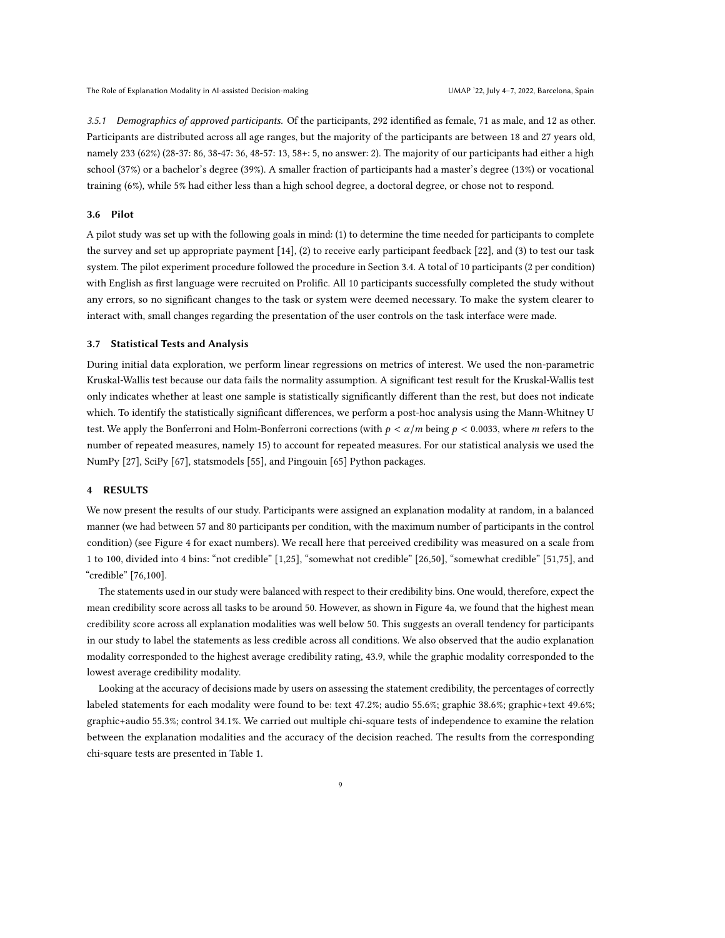3.5.1 Demographics of approved participants. Of the participants, 292 identified as female, 71 as male, and 12 as other. Participants are distributed across all age ranges, but the majority of the participants are between 18 and 27 years old, namely 233 (62%) (28-37: 86, 38-47: 36, 48-57: 13, 58+: 5, no answer: 2). The majority of our participants had either a high school (37%) or a bachelor's degree (39%). A smaller fraction of participants had a master's degree (13%) or vocational training (6%), while 5% had either less than a high school degree, a doctoral degree, or chose not to respond.

# 3.6 Pilot

A pilot study was set up with the following goals in mind: (1) to determine the time needed for participants to complete the survey and set up appropriate payment [\[14\]](#page-14-21), (2) to receive early participant feedback [\[22\]](#page-14-22), and (3) to test our task system. The pilot experiment procedure followed the procedure in Section [3.4.](#page-7-1) A total of 10 participants (2 per condition) with English as first language were recruited on Prolific. All 10 participants successfully completed the study without any errors, so no significant changes to the task or system were deemed necessary. To make the system clearer to interact with, small changes regarding the presentation of the user controls on the task interface were made.

## 3.7 Statistical Tests and Analysis

During initial data exploration, we perform linear regressions on metrics of interest. We used the non-parametric Kruskal-Wallis test because our data fails the normality assumption. A significant test result for the Kruskal-Wallis test only indicates whether at least one sample is statistically significantly different than the rest, but does not indicate which. To identify the statistically significant differences, we perform a post-hoc analysis using the Mann-Whitney U test. We apply the Bonferroni and Holm-Bonferroni corrections (with  $p < \alpha/m$  being  $p < 0.0033$ , where m refers to the number of repeated measures, namely 15) to account for repeated measures. For our statistical analysis we used the NumPy [\[27\]](#page-14-23), SciPy [\[67\]](#page-16-19), statsmodels [\[55\]](#page-16-20), and Pingouin [\[65\]](#page-16-21) Python packages.

#### 4 RESULTS

We now present the results of our study. Participants were assigned an explanation modality at random, in a balanced manner (we had between 57 and 80 participants per condition, with the maximum number of participants in the control condition) (see Figure [4](#page-9-0) for exact numbers). We recall here that perceived credibility was measured on a scale from 1 to 100, divided into 4 bins: "not credible" [1,25], "somewhat not credible" [26,50], "somewhat credible" [51,75], and "credible" [76,100].

The statements used in our study were balanced with respect to their credibility bins. One would, therefore, expect the mean credibility score across all tasks to be around 50. However, as shown in Figure [4a,](#page-9-0) we found that the highest mean credibility score across all explanation modalities was well below 50. This suggests an overall tendency for participants in our study to label the statements as less credible across all conditions. We also observed that the audio explanation modality corresponded to the highest average credibility rating, 43.9, while the graphic modality corresponded to the lowest average credibility modality.

Looking at the accuracy of decisions made by users on assessing the statement credibility, the percentages of correctly labeled statements for each modality were found to be: text 47.2%; audio 55.6%; graphic 38.6%; graphic+text 49.6%; graphic+audio 55.3%; control 34.1%. We carried out multiple chi-square tests of independence to examine the relation between the explanation modalities and the accuracy of the decision reached. The results from the corresponding chi-square tests are presented in Table [1.](#page-9-1)

9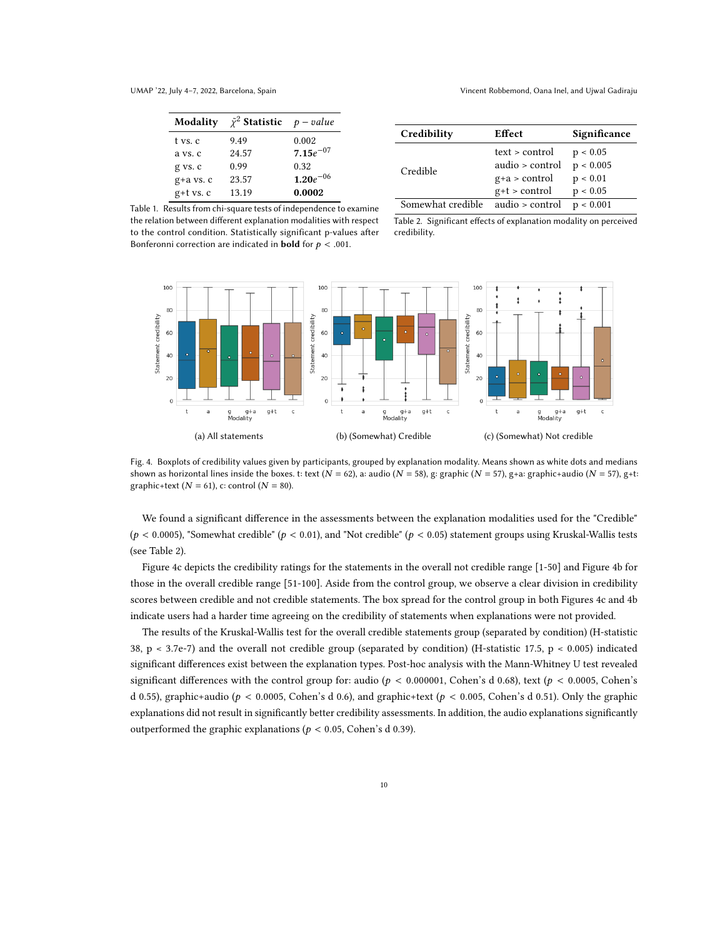<span id="page-9-1"></span>

| Modality      | $\tilde{\chi}^2$ Statistic $p-value$ |               |
|---------------|--------------------------------------|---------------|
| t vs. c       | 9.49                                 | 0.002         |
| a vs. c       | 24.57                                | $7.15e^{-07}$ |
| g vs. c       | 0.99                                 | 0.32          |
| $g+a$ vs. $c$ | 23.57                                | $1.20e^{-06}$ |
| $g$ +t vs. c  | 13.19                                | 0.0002        |

UMAP '22, July 4–7, 2022, Barcelona, Spain Vincent Robbemond, Oana Inel, and Ujwal Gadiraju

| Credibility       | Effect          | Significance |
|-------------------|-----------------|--------------|
|                   | text > control  | p < 0.05     |
| Credible          | audio > control | p < 0.005    |
|                   | $g+a$ > control | p < 0.01     |
|                   | $g+t$ > control | p < 0.05     |
| Somewhat credible | audio > control | p < 0.001    |

Table 1. Results from chi-square tests of independence to examine the relation between different explanation modalities with respect to the control condition. Statistically significant p-values after Bonferonni correction are indicated in **bold** for  $p < .001$ .

Table 2. Significant effects of explanation modality on perceived credibility.

<span id="page-9-0"></span>

Fig. 4. Boxplots of credibility values given by participants, grouped by explanation modality. Means shown as white dots and medians shown as horizontal lines inside the boxes. t: text ( $N = 62$ ), a: audio ( $N = 58$ ), g: graphic ( $N = 57$ ), g+a: graphic+audio ( $N = 57$ ), g+t: graphic+text ( $N = 61$ ), c: control ( $N = 80$ ).

We found a significant difference in the assessments between the explanation modalities used for the "Credible" ( $p < 0.0005$ ), "Somewhat credible" ( $p < 0.01$ ), and "Not credible" ( $p < 0.05$ ) statement groups using Kruskal-Wallis tests (see Table [2\)](#page-9-1).

Figure [4c](#page-9-0) depicts the credibility ratings for the statements in the overall not credible range [1-50] and Figure [4b](#page-9-0) for those in the overall credible range [51-100]. Aside from the control group, we observe a clear division in credibility scores between credible and not credible statements. The box spread for the control group in both Figures [4c](#page-9-0) and [4b](#page-9-0) indicate users had a harder time agreeing on the credibility of statements when explanations were not provided.

The results of the Kruskal-Wallis test for the overall credible statements group (separated by condition) (H-statistic 38, p < 3.7e-7) and the overall not credible group (separated by condition) (H-statistic 17.5, p < 0.005) indicated significant differences exist between the explanation types. Post-hoc analysis with the Mann-Whitney U test revealed significant differences with the control group for: audio ( $p < 0.000001$ , Cohen's d 0.68), text ( $p < 0.0005$ , Cohen's d 0.55), graphic+audio ( $p < 0.0005$ , Cohen's d 0.6), and graphic+text ( $p < 0.005$ , Cohen's d 0.51). Only the graphic explanations did not result in significantly better credibility assessments. In addition, the audio explanations significantly outperformed the graphic explanations ( $p < 0.05$ , Cohen's d 0.39).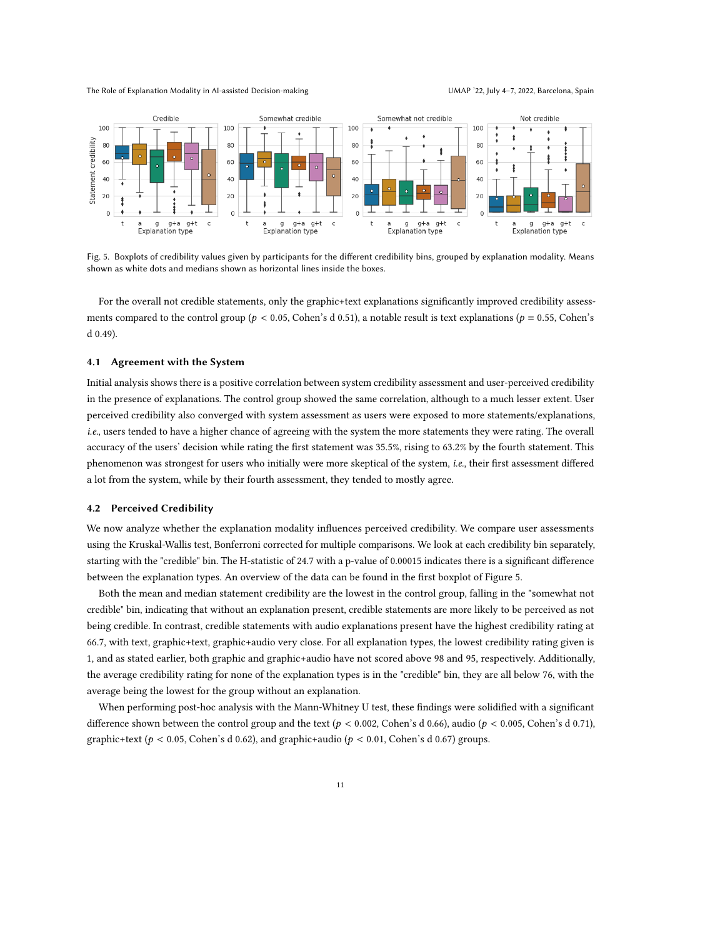The Role of Explanation Modality in AI-assisted Decision-making UMAP '22, July 4-7, 2022, Barcelona, Spain

<span id="page-10-0"></span>

Fig. 5. Boxplots of credibility values given by participants for the different credibility bins, grouped by explanation modality. Means shown as white dots and medians shown as horizontal lines inside the boxes.

For the overall not credible statements, only the graphic+text explanations significantly improved credibility assessments compared to the control group ( $p < 0.05$ , Cohen's d 0.51), a notable result is text explanations ( $p = 0.55$ , Cohen's d 0.49).

# 4.1 Agreement with the System

Initial analysis shows there is a positive correlation between system credibility assessment and user-perceived credibility in the presence of explanations. The control group showed the same correlation, although to a much lesser extent. User perceived credibility also converged with system assessment as users were exposed to more statements/explanations, i.e., users tended to have a higher chance of agreeing with the system the more statements they were rating. The overall accuracy of the users' decision while rating the first statement was 35.5%, rising to 63.2% by the fourth statement. This phenomenon was strongest for users who initially were more skeptical of the system, i.e., their first assessment differed a lot from the system, while by their fourth assessment, they tended to mostly agree.

### 4.2 Perceived Credibility

We now analyze whether the explanation modality influences perceived credibility. We compare user assessments using the Kruskal-Wallis test, Bonferroni corrected for multiple comparisons. We look at each credibility bin separately, starting with the "credible" bin. The H-statistic of 24.7 with a p-value of 0.00015 indicates there is a significant difference between the explanation types. An overview of the data can be found in the first boxplot of Figure [5.](#page-10-0)

Both the mean and median statement credibility are the lowest in the control group, falling in the "somewhat not credible" bin, indicating that without an explanation present, credible statements are more likely to be perceived as not being credible. In contrast, credible statements with audio explanations present have the highest credibility rating at 66.7, with text, graphic+text, graphic+audio very close. For all explanation types, the lowest credibility rating given is 1, and as stated earlier, both graphic and graphic+audio have not scored above 98 and 95, respectively. Additionally, the average credibility rating for none of the explanation types is in the "credible" bin, they are all below 76, with the average being the lowest for the group without an explanation.

When performing post-hoc analysis with the Mann-Whitney U test, these findings were solidified with a significant difference shown between the control group and the text ( $p < 0.002$ , Cohen's d 0.66), audio ( $p < 0.005$ , Cohen's d 0.71), graphic+text ( $p < 0.05$ , Cohen's d 0.62), and graphic+audio ( $p < 0.01$ , Cohen's d 0.67) groups.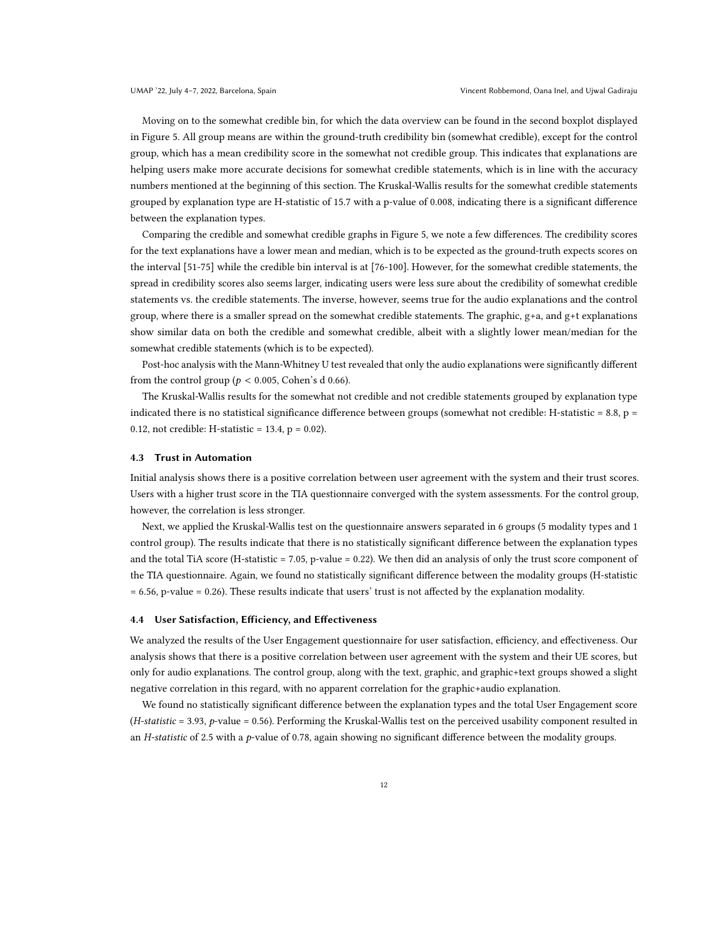Moving on to the somewhat credible bin, for which the data overview can be found in the second boxplot displayed in Figure [5.](#page-10-0) All group means are within the ground-truth credibility bin (somewhat credible), except for the control group, which has a mean credibility score in the somewhat not credible group. This indicates that explanations are helping users make more accurate decisions for somewhat credible statements, which is in line with the accuracy numbers mentioned at the beginning of this section. The Kruskal-Wallis results for the somewhat credible statements grouped by explanation type are H-statistic of 15.7 with a p-value of 0.008, indicating there is a significant difference between the explanation types.

Comparing the credible and somewhat credible graphs in Figure [5,](#page-10-0) we note a few differences. The credibility scores for the text explanations have a lower mean and median, which is to be expected as the ground-truth expects scores on the interval [51-75] while the credible bin interval is at [76-100]. However, for the somewhat credible statements, the spread in credibility scores also seems larger, indicating users were less sure about the credibility of somewhat credible statements vs. the credible statements. The inverse, however, seems true for the audio explanations and the control group, where there is a smaller spread on the somewhat credible statements. The graphic,  $g+a$ , and  $g+t$  explanations show similar data on both the credible and somewhat credible, albeit with a slightly lower mean/median for the somewhat credible statements (which is to be expected).

Post-hoc analysis with the Mann-Whitney U test revealed that only the audio explanations were significantly different from the control group ( $p < 0.005$ , Cohen's d 0.66).

The Kruskal-Wallis results for the somewhat not credible and not credible statements grouped by explanation type indicated there is no statistical significance difference between groups (somewhat not credible: H-statistic =  $8.8$ ,  $p =$ 0.12, not credible: H-statistic =  $13.4$ , p = 0.02).

### 4.3 Trust in Automation

Initial analysis shows there is a positive correlation between user agreement with the system and their trust scores. Users with a higher trust score in the TIA questionnaire converged with the system assessments. For the control group, however, the correlation is less stronger.

Next, we applied the Kruskal-Wallis test on the questionnaire answers separated in 6 groups (5 modality types and 1 control group). The results indicate that there is no statistically significant difference between the explanation types and the total TiA score (H-statistic = 7.05, p-value = 0.22). We then did an analysis of only the trust score component of the TIA questionnaire. Again, we found no statistically significant difference between the modality groups (H-statistic = 6.56, p-value = 0.26). These results indicate that users' trust is not affected by the explanation modality.

#### 4.4 User Satisfaction, Efficiency, and Effectiveness

We analyzed the results of the User Engagement questionnaire for user satisfaction, efficiency, and effectiveness. Our analysis shows that there is a positive correlation between user agreement with the system and their UE scores, but only for audio explanations. The control group, along with the text, graphic, and graphic+text groups showed a slight negative correlation in this regard, with no apparent correlation for the graphic+audio explanation.

We found no statistically significant difference between the explanation types and the total User Engagement score (H-statistic = 3.93, p-value = 0.56). Performing the Kruskal-Wallis test on the perceived usability component resulted in an H-statistic of 2.5 with a p-value of 0.78, again showing no significant difference between the modality groups.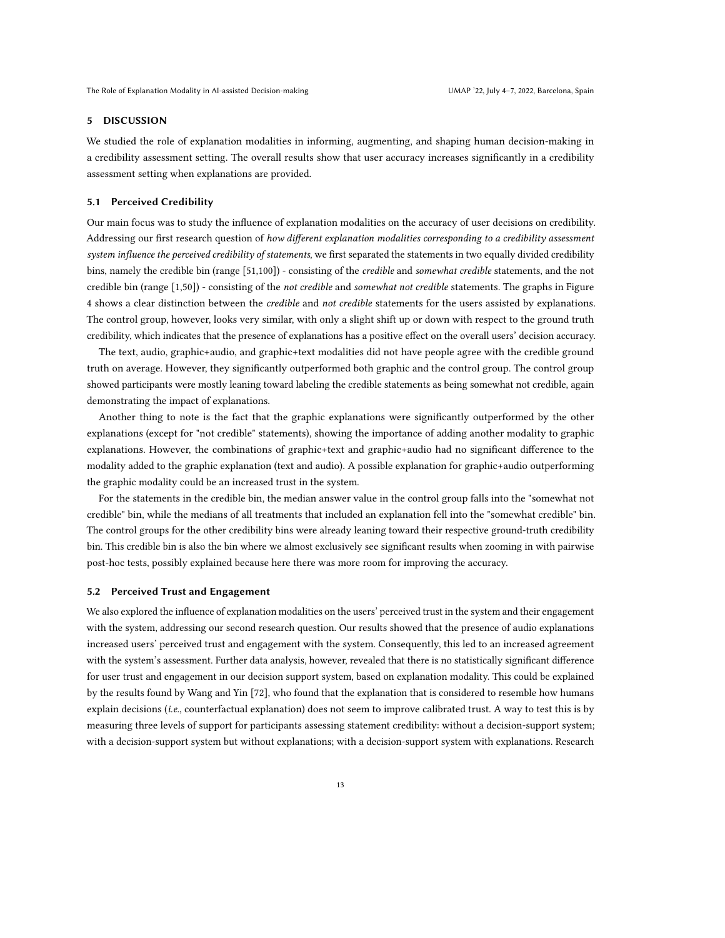# 5 DISCUSSION

We studied the role of explanation modalities in informing, augmenting, and shaping human decision-making in a credibility assessment setting. The overall results show that user accuracy increases significantly in a credibility assessment setting when explanations are provided.

## 5.1 Perceived Credibility

Our main focus was to study the influence of explanation modalities on the accuracy of user decisions on credibility. Addressing our first research question of how different explanation modalities corresponding to a credibility assessment system influence the perceived credibility of statements, we first separated the statements in two equally divided credibility bins, namely the credible bin (range [51,100]) - consisting of the *credible* and somewhat credible statements, and the not credible bin (range [1,50]) - consisting of the not credible and somewhat not credible statements. The graphs in Figure [4](#page-9-0) shows a clear distinction between the *credible* and not credible statements for the users assisted by explanations. The control group, however, looks very similar, with only a slight shift up or down with respect to the ground truth credibility, which indicates that the presence of explanations has a positive effect on the overall users' decision accuracy.

The text, audio, graphic+audio, and graphic+text modalities did not have people agree with the credible ground truth on average. However, they significantly outperformed both graphic and the control group. The control group showed participants were mostly leaning toward labeling the credible statements as being somewhat not credible, again demonstrating the impact of explanations.

Another thing to note is the fact that the graphic explanations were significantly outperformed by the other explanations (except for "not credible" statements), showing the importance of adding another modality to graphic explanations. However, the combinations of graphic+text and graphic+audio had no significant difference to the modality added to the graphic explanation (text and audio). A possible explanation for graphic+audio outperforming the graphic modality could be an increased trust in the system.

For the statements in the credible bin, the median answer value in the control group falls into the "somewhat not credible" bin, while the medians of all treatments that included an explanation fell into the "somewhat credible" bin. The control groups for the other credibility bins were already leaning toward their respective ground-truth credibility bin. This credible bin is also the bin where we almost exclusively see significant results when zooming in with pairwise post-hoc tests, possibly explained because here there was more room for improving the accuracy.

# 5.2 Perceived Trust and Engagement

We also explored the influence of explanation modalities on the users' perceived trust in the system and their engagement with the system, addressing our second research question. Our results showed that the presence of audio explanations increased users' perceived trust and engagement with the system. Consequently, this led to an increased agreement with the system's assessment. Further data analysis, however, revealed that there is no statistically significant difference for user trust and engagement in our decision support system, based on explanation modality. This could be explained by the results found by Wang and Yin [\[72\]](#page-16-15), who found that the explanation that is considered to resemble how humans explain decisions (i.e., counterfactual explanation) does not seem to improve calibrated trust. A way to test this is by measuring three levels of support for participants assessing statement credibility: without a decision-support system; with a decision-support system but without explanations; with a decision-support system with explanations. Research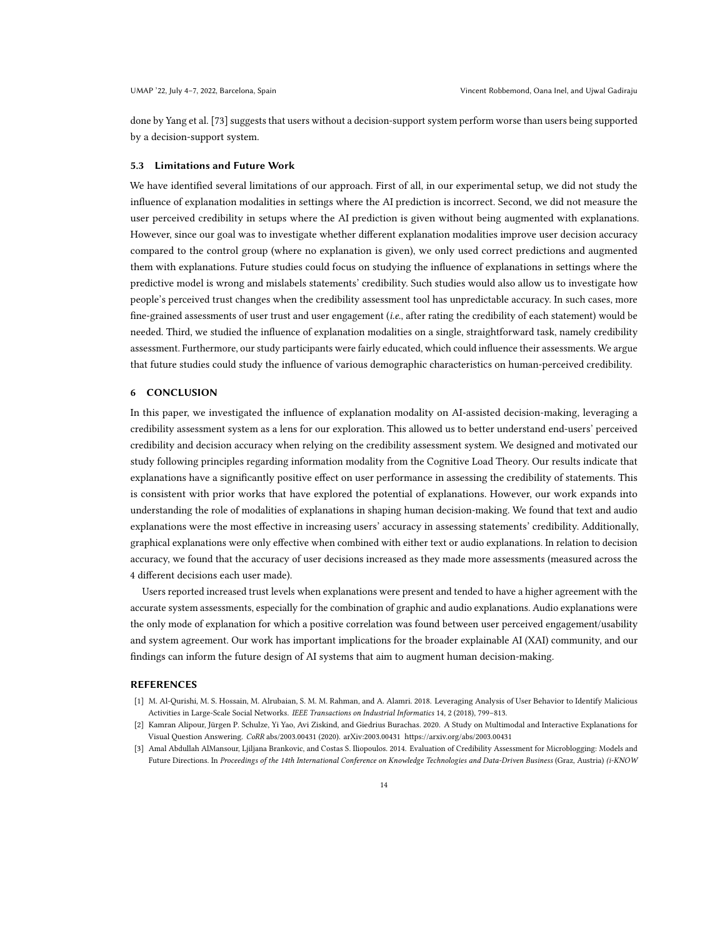done by Yang et al. [\[73\]](#page-16-16) suggests that users without a decision-support system perform worse than users being supported by a decision-support system.

#### 5.3 Limitations and Future Work

We have identified several limitations of our approach. First of all, in our experimental setup, we did not study the influence of explanation modalities in settings where the AI prediction is incorrect. Second, we did not measure the user perceived credibility in setups where the AI prediction is given without being augmented with explanations. However, since our goal was to investigate whether different explanation modalities improve user decision accuracy compared to the control group (where no explanation is given), we only used correct predictions and augmented them with explanations. Future studies could focus on studying the influence of explanations in settings where the predictive model is wrong and mislabels statements' credibility. Such studies would also allow us to investigate how people's perceived trust changes when the credibility assessment tool has unpredictable accuracy. In such cases, more fine-grained assessments of user trust and user engagement (i.e., after rating the credibility of each statement) would be needed. Third, we studied the influence of explanation modalities on a single, straightforward task, namely credibility assessment. Furthermore, our study participants were fairly educated, which could influence their assessments. We argue that future studies could study the influence of various demographic characteristics on human-perceived credibility.

# 6 CONCLUSION

In this paper, we investigated the influence of explanation modality on AI-assisted decision-making, leveraging a credibility assessment system as a lens for our exploration. This allowed us to better understand end-users' perceived credibility and decision accuracy when relying on the credibility assessment system. We designed and motivated our study following principles regarding information modality from the Cognitive Load Theory. Our results indicate that explanations have a significantly positive effect on user performance in assessing the credibility of statements. This is consistent with prior works that have explored the potential of explanations. However, our work expands into understanding the role of modalities of explanations in shaping human decision-making. We found that text and audio explanations were the most effective in increasing users' accuracy in assessing statements' credibility. Additionally, graphical explanations were only effective when combined with either text or audio explanations. In relation to decision accuracy, we found that the accuracy of user decisions increased as they made more assessments (measured across the 4 different decisions each user made).

Users reported increased trust levels when explanations were present and tended to have a higher agreement with the accurate system assessments, especially for the combination of graphic and audio explanations. Audio explanations were the only mode of explanation for which a positive correlation was found between user perceived engagement/usability and system agreement. Our work has important implications for the broader explainable AI (XAI) community, and our findings can inform the future design of AI systems that aim to augment human decision-making.

# REFERENCES

- <span id="page-13-0"></span>[1] M. Al-Qurishi, M. S. Hossain, M. Alrubaian, S. M. M. Rahman, and A. Alamri. 2018. Leveraging Analysis of User Behavior to Identify Malicious Activities in Large-Scale Social Networks. IEEE Transactions on Industrial Informatics 14, 2 (2018), 799–813.
- <span id="page-13-2"></span>[2] Kamran Alipour, Jürgen P. Schulze, Yi Yao, Avi Ziskind, and Giedrius Burachas. 2020. A Study on Multimodal and Interactive Explanations for Visual Question Answering. CoRR abs/2003.00431 (2020). arXiv[:2003.00431 https://arxiv.org/abs/2003.00431](https://arxiv.org/abs/2003.00431)
- <span id="page-13-1"></span>[3] Amal Abdullah AlMansour, Ljiljana Brankovic, and Costas S. Iliopoulos. 2014. Evaluation of Credibility Assessment for Microblogging: Models and Future Directions. In Proceedings of the 14th International Conference on Knowledge Technologies and Data-Driven Business (Graz, Austria) (i-KNOW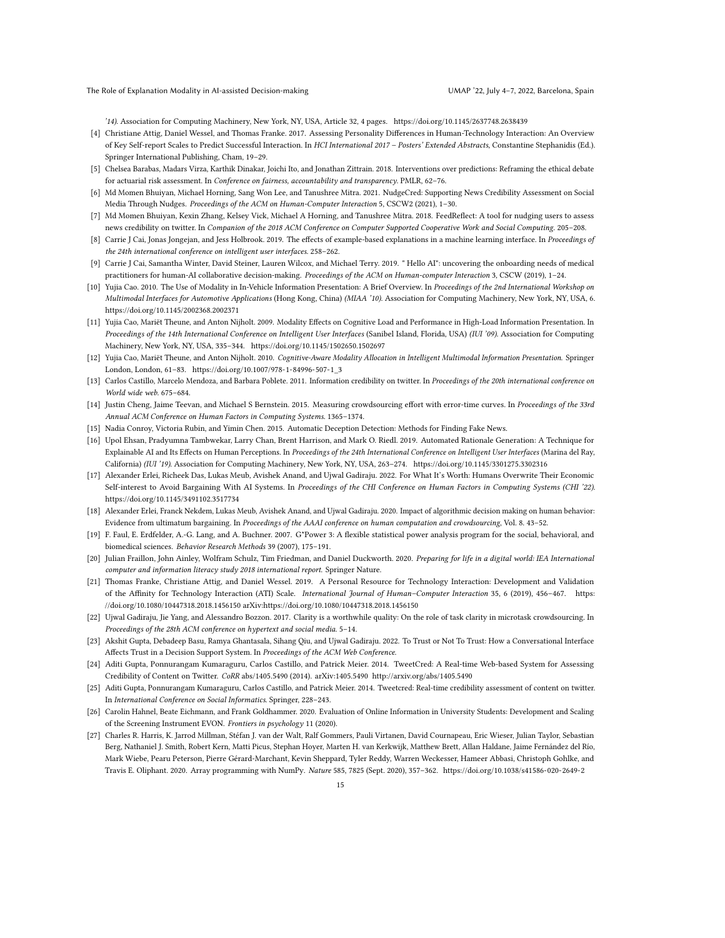The Role of Explanation Modality in AI-assisted Decision-making UMAP '22, July 4-7, 2022, Barcelona, Spain

'14). Association for Computing Machinery, New York, NY, USA, Article 32, 4 pages.<https://doi.org/10.1145/2637748.2638439>

- <span id="page-14-18"></span>[4] Christiane Attig, Daniel Wessel, and Thomas Franke. 2017. Assessing Personality Differences in Human-Technology Interaction: An Overview of Key Self-report Scales to Predict Successful Interaction. In HCI International 2017 – Posters' Extended Abstracts, Constantine Stephanidis (Ed.). Springer International Publishing, Cham, 19–29.
- <span id="page-14-2"></span>[5] Chelsea Barabas, Madars Virza, Karthik Dinakar, Joichi Ito, and Jonathan Zittrain. 2018. Interventions over predictions: Reframing the ethical debate for actuarial risk assessment. In Conference on fairness, accountability and transparency. PMLR, 62–76.
- <span id="page-14-8"></span>[6] Md Momen Bhuiyan, Michael Horning, Sang Won Lee, and Tanushree Mitra. 2021. NudgeCred: Supporting News Credibility Assessment on Social Media Through Nudges. Proceedings of the ACM on Human-Computer Interaction 5, CSCW2 (2021), 1–30.
- <span id="page-14-9"></span>[7] Md Momen Bhuiyan, Kexin Zhang, Kelsey Vick, Michael A Horning, and Tanushree Mitra. 2018. FeedReflect: A tool for nudging users to assess news credibility on twitter. In Companion of the 2018 ACM Conference on Computer Supported Cooperative Work and Social Computing. 205–208.
- <span id="page-14-14"></span>[8] Carrie J Cai, Jonas Jongejan, and Jess Holbrook. 2019. The effects of example-based explanations in a machine learning interface. In Proceedings of the 24th international conference on intelligent user interfaces. 258–262.
- <span id="page-14-0"></span>[9] Carrie J Cai, Samantha Winter, David Steiner, Lauren Wilcox, and Michael Terry. 2019. " Hello AI": uncovering the onboarding needs of medical practitioners for human-AI collaborative decision-making. Proceedings of the ACM on Human-computer Interaction 3, CSCW (2019), 1–24.
- <span id="page-14-17"></span>[10] Yujia Cao. 2010. The Use of Modality in In-Vehicle Information Presentation: A Brief Overview. In Proceedings of the 2nd International Workshop on Multimodal Interfaces for Automotive Applications (Hong Kong, China) (MIAA '10). Association for Computing Machinery, New York, NY, USA, 6. <https://doi.org/10.1145/2002368.2002371>
- <span id="page-14-15"></span>[11] Yujia Cao, Mariët Theune, and Anton Nijholt. 2009. Modality Effects on Cognitive Load and Performance in High-Load Information Presentation. In Proceedings of the 14th International Conference on Intelligent User Interfaces (Sanibel Island, Florida, USA) (IUI '09). Association for Computing Machinery, New York, NY, USA, 335–344.<https://doi.org/10.1145/1502650.1502697>
- <span id="page-14-16"></span>[12] Yujia Cao, Mariët Theune, and Anton Nijholt. 2010. Cognitive-Aware Modality Allocation in Intelligent Multimodal Information Presentation. Springer London, London, 61–83. [https://doi.org/10.1007/978-1-84996-507-1\\_3](https://doi.org/10.1007/978-1-84996-507-1_3)
- <span id="page-14-10"></span>[13] Carlos Castillo, Marcelo Mendoza, and Barbara Poblete. 2011. Information credibility on twitter. In Proceedings of the 20th international conference on World wide web. 675–684.
- <span id="page-14-21"></span>[14] Justin Cheng, Jaime Teevan, and Michael S Bernstein. 2015. Measuring crowdsourcing effort with error-time curves. In Proceedings of the 33rd Annual ACM Conference on Human Factors in Computing Systems. 1365–1374.
- <span id="page-14-4"></span>[15] Nadia Conroy, Victoria Rubin, and Yimin Chen. 2015. Automatic Deception Detection: Methods for Finding Fake News.
- <span id="page-14-13"></span>[16] Upol Ehsan, Pradyumna Tambwekar, Larry Chan, Brent Harrison, and Mark O. Riedl. 2019. Automated Rationale Generation: A Technique for Explainable AI and Its Effects on Human Perceptions. In Proceedings of the 24th International Conference on Intelligent User Interfaces (Marina del Ray, California) (IUI '19). Association for Computing Machinery, New York, NY, USA, 263–274.<https://doi.org/10.1145/3301275.3302316>
- <span id="page-14-12"></span>[17] Alexander Erlei, Richeek Das, Lukas Meub, Avishek Anand, and Ujwal Gadiraju. 2022. For What It's Worth: Humans Overwrite Their Economic Self-interest to Avoid Bargaining With AI Systems. In Proceedings of the CHI Conference on Human Factors in Computing Systems (CHI '22). <https://doi.org/10.1145/3491102.3517734>
- <span id="page-14-1"></span>[18] Alexander Erlei, Franck Nekdem, Lukas Meub, Avishek Anand, and Ujwal Gadiraju. 2020. Impact of algorithmic decision making on human behavior: Evidence from ultimatum bargaining. In Proceedings of the AAAI conference on human computation and crowdsourcing, Vol. 8. 43–52.
- <span id="page-14-20"></span>[19] F. Faul, E. Erdfelder, A.-G. Lang, and A. Buchner. 2007. G\*Power 3: A flexible statistical power analysis program for the social, behavioral, and biomedical sciences. Behavior Research Methods 39 (2007), 175–191.
- <span id="page-14-6"></span>[20] Julian Fraillon, John Ainley, Wolfram Schulz, Tim Friedman, and Daniel Duckworth. 2020. Preparing for life in a digital world: IEA International computer and information literacy study 2018 international report. Springer Nature.
- <span id="page-14-19"></span>[21] Thomas Franke, Christiane Attig, and Daniel Wessel. 2019. A Personal Resource for Technology Interaction: Development and Validation of the Affinity for Technology Interaction (ATI) Scale. International Journal of Human–Computer Interaction 35, 6 (2019), 456–467. [https:](https://doi.org/10.1080/10447318.2018.1456150) [//doi.org/10.1080/10447318.2018.1456150](https://doi.org/10.1080/10447318.2018.1456150) arXiv[:https://doi.org/10.1080/10447318.2018.1456150](https://arxiv.org/abs/https://doi.org/10.1080/10447318.2018.1456150)
- <span id="page-14-22"></span>[22] Ujwal Gadiraju, Jie Yang, and Alessandro Bozzon. 2017. Clarity is a worthwhile quality: On the role of task clarity in microtask crowdsourcing. In Proceedings of the 28th ACM conference on hypertext and social media. 5–14.
- <span id="page-14-3"></span>[23] Akshit Gupta, Debadeep Basu, Ramya Ghantasala, Sihang Qiu, and Ujwal Gadiraju. 2022. To Trust or Not To Trust: How a Conversational Interface Affects Trust in a Decision Support System. In Proceedings of the ACM Web Conference.
- <span id="page-14-5"></span>[24] Aditi Gupta, Ponnurangam Kumaraguru, Carlos Castillo, and Patrick Meier. 2014. TweetCred: A Real-time Web-based System for Assessing Credibility of Content on Twitter. CoRR abs/1405.5490 (2014). arXiv[:1405.5490](https://arxiv.org/abs/1405.5490)<http://arxiv.org/abs/1405.5490>
- <span id="page-14-11"></span>[25] Aditi Gupta, Ponnurangam Kumaraguru, Carlos Castillo, and Patrick Meier. 2014. Tweetcred: Real-time credibility assessment of content on twitter. In International Conference on Social Informatics. Springer, 228–243.
- <span id="page-14-7"></span>[26] Carolin Hahnel, Beate Eichmann, and Frank Goldhammer. 2020. Evaluation of Online Information in University Students: Development and Scaling of the Screening Instrument EVON. Frontiers in psychology 11 (2020).
- <span id="page-14-23"></span>[27] Charles R. Harris, K. Jarrod Millman, Stéfan J. van der Walt, Ralf Gommers, Pauli Virtanen, David Cournapeau, Eric Wieser, Julian Taylor, Sebastian Berg, Nathaniel J. Smith, Robert Kern, Matti Picus, Stephan Hoyer, Marten H. van Kerkwijk, Matthew Brett, Allan Haldane, Jaime Fernández del Río, Mark Wiebe, Pearu Peterson, Pierre Gérard-Marchant, Kevin Sheppard, Tyler Reddy, Warren Weckesser, Hameer Abbasi, Christoph Gohlke, and Travis E. Oliphant. 2020. Array programming with NumPy. Nature 585, 7825 (Sept. 2020), 357–362.<https://doi.org/10.1038/s41586-020-2649-2>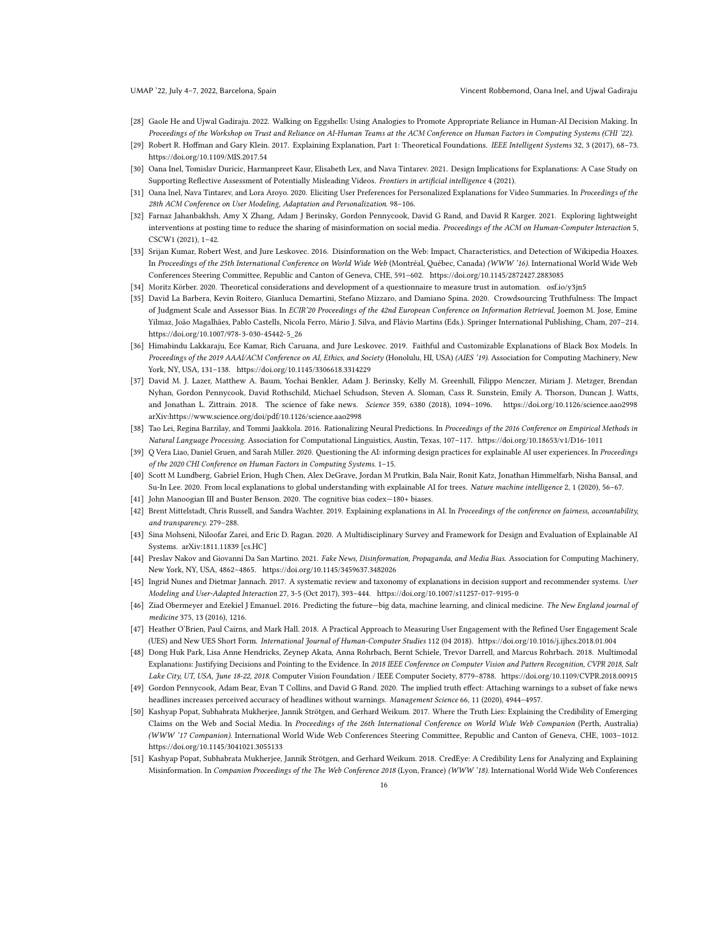- <span id="page-15-1"></span>[28] Gaole He and Ujwal Gadiraju. 2022. Walking on Eggshells: Using Analogies to Promote Appropriate Reliance in Human-AI Decision Making. In Proceedings of the Workshop on Trust and Reliance on AI-Human Teams at the ACM Conference on Human Factors in Computing Systems (CHI '22).
- <span id="page-15-14"></span>[29] Robert R. Hoffman and Gary Klein. 2017. Explaining Explanation, Part 1: Theoretical Foundations. IEEE Intelligent Systems 32, 3 (2017), 68–73. <https://doi.org/10.1109/MIS.2017.54>
- <span id="page-15-11"></span>[30] Oana Inel, Tomislav Duricic, Harmanpreet Kaur, Elisabeth Lex, and Nava Tintarev. 2021. Design Implications for Explanations: A Case Study on Supporting Reflective Assessment of Potentially Misleading Videos. Frontiers in artificial intelligence 4 (2021).
- <span id="page-15-20"></span>[31] Oana Inel, Nava Tintarev, and Lora Aroyo. 2020. Eliciting User Preferences for Personalized Explanations for Video Summaries. In Proceedings of the 28th ACM Conference on User Modeling, Adaptation and Personalization. 98–106.
- <span id="page-15-12"></span>[32] Farnaz Jahanbakhsh, Amy X Zhang, Adam J Berinsky, Gordon Pennycook, David G Rand, and David R Karger. 2021. Exploring lightweight interventions at posting time to reduce the sharing of misinformation on social media. Proceedings of the ACM on Human-Computer Interaction 5, CSCW1 (2021), 1–42.
- <span id="page-15-8"></span>[33] Srijan Kumar, Robert West, and Jure Leskovec. 2016. Disinformation on the Web: Impact, Characteristics, and Detection of Wikipedia Hoaxes. In Proceedings of the 25th International Conference on World Wide Web (Montréal, Québec, Canada) (WWW '16). International World Wide Web Conferences Steering Committee, Republic and Canton of Geneva, CHE, 591–602.<https://doi.org/10.1145/2872427.2883085>
- <span id="page-15-23"></span><span id="page-15-9"></span>[34] Moritz Körber. 2020. Theoretical considerations and development of a questionnaire to measure trust in automation.<osf.io/y3jn5>
- [35] David La Barbera, Kevin Roitero, Gianluca Demartini, Stefano Mizzaro, and Damiano Spina. 2020. Crowdsourcing Truthfulness: The Impact of Judgment Scale and Assessor Bias. In ECIR'20 Proceedings of the 42nd European Conference on Information Retrieval, Joemon M. Jose, Emine Yilmaz, João Magalhães, Pablo Castells, Nicola Ferro, Mário J. Silva, and Flávio Martins (Eds.). Springer International Publishing, Cham, 207–214. [https://doi.org/10.1007/978-3-030-45442-5\\_26](https://doi.org/10.1007/978-3-030-45442-5_26)
- <span id="page-15-16"></span>[36] Himabindu Lakkaraju, Ece Kamar, Rich Caruana, and Jure Leskovec. 2019. Faithful and Customizable Explanations of Black Box Models. In Proceedings of the 2019 AAAI/ACM Conference on AI, Ethics, and Society (Honolulu, HI, USA) (AIES '19). Association for Computing Machinery, New York, NY, USA, 131–138.<https://doi.org/10.1145/3306618.3314229>
- <span id="page-15-6"></span>[37] David M. J. Lazer, Matthew A. Baum, Yochai Benkler, Adam J. Berinsky, Kelly M. Greenhill, Filippo Menczer, Miriam J. Metzger, Brendan Nyhan, Gordon Pennycook, David Rothschild, Michael Schudson, Steven A. Sloman, Cass R. Sunstein, Emily A. Thorson, Duncan J. Watts, and Jonathan L. Zittrain. 2018. The science of fake news. Science 359, 6380 (2018), 1094–1096.<https://doi.org/10.1126/science.aao2998> arXiv[:https://www.science.org/doi/pdf/10.1126/science.aao2998](https://arxiv.org/abs/https://www.science.org/doi/pdf/10.1126/science.aao2998)
- <span id="page-15-17"></span>[38] Tao Lei, Regina Barzilay, and Tommi Jaakkola. 2016. Rationalizing Neural Predictions. In Proceedings of the 2016 Conference on Empirical Methods in Natural Language Processing. Association for Computational Linguistics, Austin, Texas, 107–117.<https://doi.org/10.18653/v1/D16-1011>
- <span id="page-15-2"></span>[39] Q Vera Liao, Daniel Gruen, and Sarah Miller. 2020. Questioning the AI: informing design practices for explainable AI user experiences. In Proceedings of the 2020 CHI Conference on Human Factors in Computing Systems. 1–15.
- <span id="page-15-3"></span>[40] Scott M Lundberg, Gabriel Erion, Hugh Chen, Alex DeGrave, Jordan M Prutkin, Bala Nair, Ronit Katz, Jonathan Himmelfarb, Nisha Bansal, and Su-In Lee. 2020. From local explanations to global understanding with explainable AI for trees. Nature machine intelligence 2, 1 (2020), 56-67.
- <span id="page-15-5"></span>[41] John Manoogian III and Buster Benson. 2020. The cognitive bias codex—180+ biases.
- <span id="page-15-4"></span>[42] Brent Mittelstadt, Chris Russell, and Sandra Wachter. 2019. Explaining explanations in AI. In Proceedings of the conference on fairness, accountability, and transparency. 279–288.
- <span id="page-15-15"></span>[43] Sina Mohseni, Niloofar Zarei, and Eric D. Ragan. 2020. A Multidisciplinary Survey and Framework for Design and Evaluation of Explainable AI Systems. arXiv[:1811.11839](https://arxiv.org/abs/1811.11839) [cs.HC]
- <span id="page-15-7"></span>[44] Preslav Nakov and Giovanni Da San Martino. 2021. Fake News, Disinformation, Propaganda, and Media Bias. Association for Computing Machinery, New York, NY, USA, 4862–4865.<https://doi.org/10.1145/3459637.3482026>
- <span id="page-15-18"></span>[45] Ingrid Nunes and Dietmar Jannach. 2017. A systematic review and taxonomy of explanations in decision support and recommender systems. User Modeling and User-Adapted Interaction 27, 3-5 (Oct 2017), 393–444.<https://doi.org/10.1007/s11257-017-9195-0>
- <span id="page-15-0"></span>[46] Ziad Obermeyer and Ezekiel J Emanuel. 2016. Predicting the future-big data, machine learning, and clinical medicine. The New England journal of medicine 375, 13 (2016), 1216.
- <span id="page-15-22"></span>[47] Heather O'Brien, Paul Cairns, and Mark Hall. 2018. A Practical Approach to Measuring User Engagement with the Refined User Engagement Scale (UES) and New UES Short Form. International Journal of Human-Computer Studies 112 (04 2018).<https://doi.org/10.1016/j.ijhcs.2018.01.004>
- <span id="page-15-21"></span>[48] Dong Huk Park, Lisa Anne Hendricks, Zeynep Akata, Anna Rohrbach, Bernt Schiele, Trevor Darrell, and Marcus Rohrbach. 2018. Multimodal Explanations: Justifying Decisions and Pointing to the Evidence. In 2018 IEEE Conference on Computer Vision and Pattern Recognition, CVPR 2018, Salt Lake City, UT, USA, June 18-22, 2018. Computer Vision Foundation / IEEE Computer Society, 8779–8788.<https://doi.org/10.1109/CVPR.2018.00915>
- <span id="page-15-13"></span>[49] Gordon Pennycook, Adam Bear, Evan T Collins, and David G Rand. 2020. The implied truth effect: Attaching warnings to a subset of fake news headlines increases perceived accuracy of headlines without warnings. Management Science 66, 11 (2020), 4944–4957.
- <span id="page-15-10"></span>[50] Kashyap Popat, Subhabrata Mukherjee, Jannik Strötgen, and Gerhard Weikum. 2017. Where the Truth Lies: Explaining the Credibility of Emerging Claims on the Web and Social Media. In Proceedings of the 26th International Conference on World Wide Web Companion (Perth, Australia) (WWW '17 Companion). International World Wide Web Conferences Steering Committee, Republic and Canton of Geneva, CHE, 1003–1012. <https://doi.org/10.1145/3041021.3055133>
- <span id="page-15-19"></span>[51] Kashyap Popat, Subhabrata Mukherjee, Jannik Strötgen, and Gerhard Weikum. 2018. CredEye: A Credibility Lens for Analyzing and Explaining Misinformation. In Companion Proceedings of the The Web Conference 2018 (Lyon, France) (WWW '18). International World Wide Web Conferences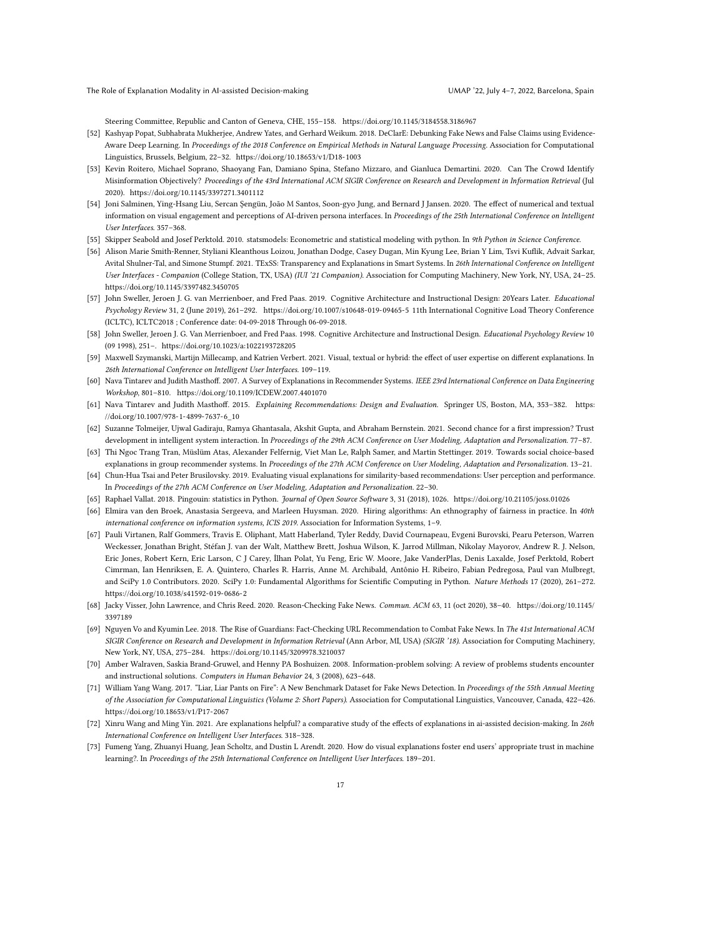The Role of Explanation Modality in AI-assisted Decision-making UMAP '22, July 4-7, 2022, Barcelona, Spain

Steering Committee, Republic and Canton of Geneva, CHE, 155–158.<https://doi.org/10.1145/3184558.3186967>

- <span id="page-16-6"></span>[52] Kashyap Popat, Subhabrata Mukherjee, Andrew Yates, and Gerhard Weikum. 2018. DeClarE: Debunking Fake News and False Claims using Evidence-Aware Deep Learning. In Proceedings of the 2018 Conference on Empirical Methods in Natural Language Processing. Association for Computational Linguistics, Brussels, Belgium, 22–32.<https://doi.org/10.18653/v1/D18-1003>
- <span id="page-16-5"></span>[53] Kevin Roitero, Michael Soprano, Shaoyang Fan, Damiano Spina, Stefano Mizzaro, and Gianluca Demartini. 2020. Can The Crowd Identify Misinformation Objectively? Proceedings of the 43rd International ACM SIGIR Conference on Research and Development in Information Retrieval (Jul 2020).<https://doi.org/10.1145/3397271.3401112>
- <span id="page-16-11"></span>[54] Joni Salminen, Ying-Hsang Liu, Sercan Şengün, João M Santos, Soon-gyo Jung, and Bernard J Jansen. 2020. The effect of numerical and textual information on visual engagement and perceptions of AI-driven persona interfaces. In Proceedings of the 25th International Conference on Intelligent User Interfaces. 357–368.
- <span id="page-16-20"></span>[55] Skipper Seabold and Josef Perktold. 2010. statsmodels: Econometric and statistical modeling with python. In 9th Python in Science Conference.
- <span id="page-16-8"></span>[56] Alison Marie Smith-Renner, Styliani Kleanthous Loizou, Jonathan Dodge, Casey Dugan, Min Kyung Lee, Brian Y Lim, Tsvi Kuflik, Advait Sarkar, Avital Shulner-Tal, and Simone Stumpf. 2021. TExSS: Transparency and Explanations in Smart Systems. In 26th International Conference on Intelligent User Interfaces - Companion (College Station, TX, USA) (IUI '21 Companion). Association for Computing Machinery, New York, NY, USA, 24–25. <https://doi.org/10.1145/3397482.3450705>
- <span id="page-16-17"></span>[57] John Sweller, Jeroen J. G. van Merrienboer, and Fred Paas. 2019. Cognitive Architecture and Instructional Design: 20Years Later. Educational Psychology Review 31, 2 (June 2019), 261–292.<https://doi.org/10.1007/s10648-019-09465-5> 11th International Cognitive Load Theory Conference (ICLTC), ICLTC2018 ; Conference date: 04-09-2018 Through 06-09-2018.
- <span id="page-16-18"></span>[58] John Sweller, Jeroen J. G. Van Merrienboer, and Fred Paas. 1998. Cognitive Architecture and Instructional Design. Educational Psychology Review 10 (09 1998), 251–.<https://doi.org/10.1023/a:1022193728205>
- <span id="page-16-12"></span>[59] Maxwell Szymanski, Martijn Millecamp, and Katrien Verbert. 2021. Visual, textual or hybrid: the effect of user expertise on different explanations. In 26th International Conference on Intelligent User Interfaces. 109–119.
- <span id="page-16-9"></span>[60] Nava Tintarev and Judith Masthoff. 2007. A Survey of Explanations in Recommender Systems. IEEE 23rd International Conference on Data Engineering Workshop, 801–810.<https://doi.org/10.1109/ICDEW.2007.4401070>
- <span id="page-16-10"></span>[61] Nava Tintarev and Judith Masthoff. 2015. Explaining Recommendations: Design and Evaluation. Springer US, Boston, MA, 353–382. [https:](https://doi.org/10.1007/978-1-4899-7637-6_10) [//doi.org/10.1007/978-1-4899-7637-6\\_10](https://doi.org/10.1007/978-1-4899-7637-6_10)
- <span id="page-16-0"></span>[62] Suzanne Tolmeijer, Ujwal Gadiraju, Ramya Ghantasala, Akshit Gupta, and Abraham Bernstein. 2021. Second chance for a first impression? Trust development in intelligent system interaction. In Proceedings of the 29th ACM Conference on User Modeling, Adaptation and Personalization. 77–87.
- <span id="page-16-13"></span>[63] Thi Ngoc Trang Tran, Müslüm Atas, Alexander Felfernig, Viet Man Le, Ralph Samer, and Martin Stettinger. 2019. Towards social choice-based explanations in group recommender systems. In Proceedings of the 27th ACM Conference on User Modeling, Adaptation and Personalization. 13–21.
- <span id="page-16-14"></span>[64] Chun-Hua Tsai and Peter Brusilovsky. 2019. Evaluating visual explanations for similarity-based recommendations: User perception and performance. In Proceedings of the 27th ACM Conference on User Modeling, Adaptation and Personalization. 22–30.
- <span id="page-16-21"></span>[65] Raphael Vallat. 2018. Pingouin: statistics in Python. Journal of Open Source Software 3, 31 (2018), 1026.<https://doi.org/10.21105/joss.01026>
- <span id="page-16-1"></span>[66] Elmira van den Broek, Anastasia Sergeeva, and Marleen Huysman. 2020. Hiring algorithms: An ethnography of fairness in practice. In 40th international conference on information systems, ICIS 2019. Association for Information Systems, 1–9.
- <span id="page-16-19"></span>[67] Pauli Virtanen, Ralf Gommers, Travis E. Oliphant, Matt Haberland, Tyler Reddy, David Cournapeau, Evgeni Burovski, Pearu Peterson, Warren Weckesser, Jonathan Bright, Stéfan J. van der Walt, Matthew Brett, Joshua Wilson, K. Jarrod Millman, Nikolay Mayorov, Andrew R. J. Nelson, Eric Jones, Robert Kern, Eric Larson, C J Carey, İlhan Polat, Yu Feng, Eric W. Moore, Jake VanderPlas, Denis Laxalde, Josef Perktold, Robert Cimrman, Ian Henriksen, E. A. Quintero, Charles R. Harris, Anne M. Archibald, Antônio H. Ribeiro, Fabian Pedregosa, Paul van Mulbregt, and SciPy 1.0 Contributors. 2020. SciPy 1.0: Fundamental Algorithms for Scientific Computing in Python. Nature Methods 17 (2020), 261–272. <https://doi.org/10.1038/s41592-019-0686-2>
- <span id="page-16-2"></span>[68] Jacky Visser, John Lawrence, and Chris Reed. 2020. Reason-Checking Fake News. Commun. ACM 63, 11 (oct 2020), 38–40. [https://doi.org/10.1145/](https://doi.org/10.1145/3397189) [3397189](https://doi.org/10.1145/3397189)
- <span id="page-16-3"></span>[69] Nguyen Vo and Kyumin Lee. 2018. The Rise of Guardians: Fact-Checking URL Recommendation to Combat Fake News. In The 41st International ACM SIGIR Conference on Research and Development in Information Retrieval (Ann Arbor, MI, USA) (SIGIR '18). Association for Computing Machinery, New York, NY, USA, 275–284.<https://doi.org/10.1145/3209978.3210037>
- <span id="page-16-7"></span>[70] Amber Walraven, Saskia Brand-Gruwel, and Henny PA Boshuizen. 2008. Information-problem solving: A review of problems students encounter and instructional solutions. Computers in Human Behavior 24, 3 (2008), 623–648.
- <span id="page-16-4"></span>[71] William Yang Wang. 2017. "Liar, Liar Pants on Fire": A New Benchmark Dataset for Fake News Detection. In Proceedings of the 55th Annual Meeting of the Association for Computational Linguistics (Volume 2: Short Papers). Association for Computational Linguistics, Vancouver, Canada, 422–426. <https://doi.org/10.18653/v1/P17-2067>
- <span id="page-16-15"></span>[72] Xinru Wang and Ming Yin. 2021. Are explanations helpful? a comparative study of the effects of explanations in ai-assisted decision-making. In 26th International Conference on Intelligent User Interfaces. 318–328.
- <span id="page-16-16"></span>[73] Fumeng Yang, Zhuanyi Huang, Jean Scholtz, and Dustin L Arendt. 2020. How do visual explanations foster end users' appropriate trust in machine learning?. In Proceedings of the 25th International Conference on Intelligent User Interfaces. 189–201.